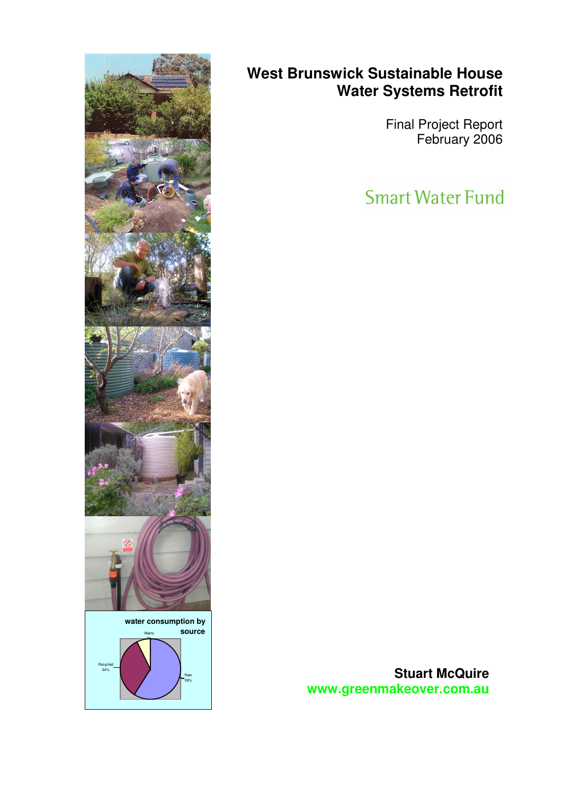

# **West Brunswick Sustainable House Water Systems Retrofit**

Final Project Report February 2006

**Smart Water Fund** 

**Stuart McQuire www.greenmakeover.com.au**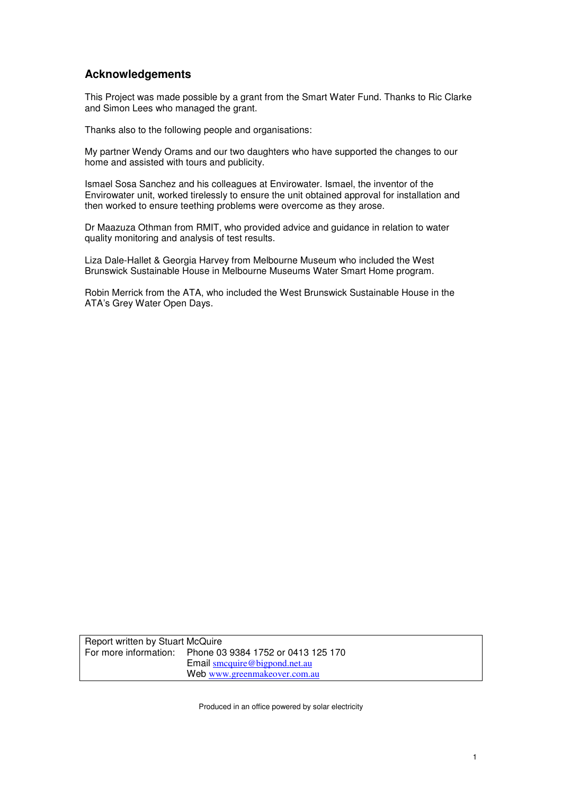### **Acknowledgements**

This Project was made possible by a grant from the Smart Water Fund. Thanks to Ric Clarke and Simon Lees who managed the grant.

Thanks also to the following people and organisations:

My partner Wendy Orams and our two daughters who have supported the changes to our home and assisted with tours and publicity.

Ismael Sosa Sanchez and his colleagues at Envirowater. Ismael, the inventor of the Envirowater unit, worked tirelessly to ensure the unit obtained approval for installation and then worked to ensure teething problems were overcome as they arose.

Dr Maazuza Othman from RMIT, who provided advice and guidance in relation to water quality monitoring and analysis of test results.

Liza Dale-Hallet & Georgia Harvey from Melbourne Museum who included the West Brunswick Sustainable House in Melbourne Museums Water Smart Home program.

Robin Merrick from the ATA, who included the West Brunswick Sustainable House in the ATA's Grey Water Open Days.

Report written by Stuart McQuire For more information: Phone 03 9384 1752 or 0413 125 170 Email smcquire@bigpond.net.au Web www.greenmakeover.com.au

Produced in an office powered by solar electricity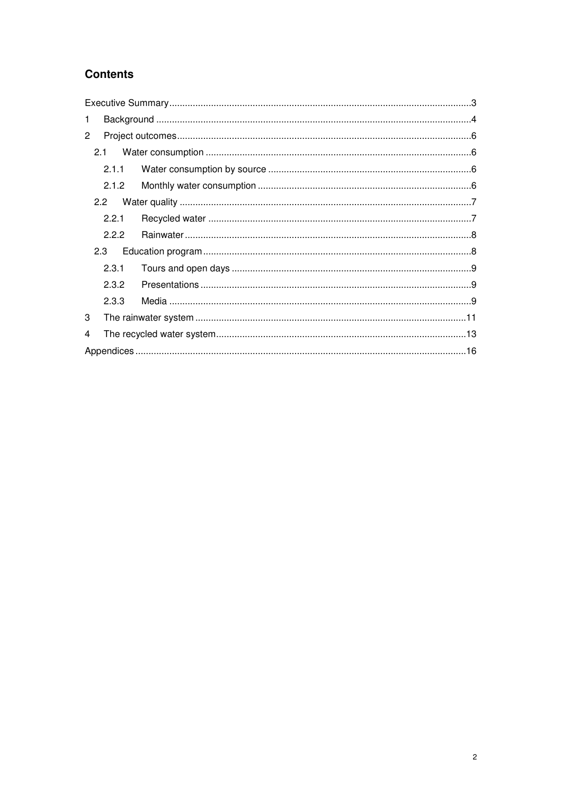## **Contents**

| 1              |       |  |  |  |  |  |  |
|----------------|-------|--|--|--|--|--|--|
| $\overline{2}$ |       |  |  |  |  |  |  |
|                |       |  |  |  |  |  |  |
|                | 2.1.1 |  |  |  |  |  |  |
|                | 2.1.2 |  |  |  |  |  |  |
|                |       |  |  |  |  |  |  |
|                | 2.2.1 |  |  |  |  |  |  |
|                | 2.2.2 |  |  |  |  |  |  |
|                | 2.3   |  |  |  |  |  |  |
|                | 2.3.1 |  |  |  |  |  |  |
|                | 2.3.2 |  |  |  |  |  |  |
|                | 2.3.3 |  |  |  |  |  |  |
| 3              |       |  |  |  |  |  |  |
| 4              |       |  |  |  |  |  |  |
|                |       |  |  |  |  |  |  |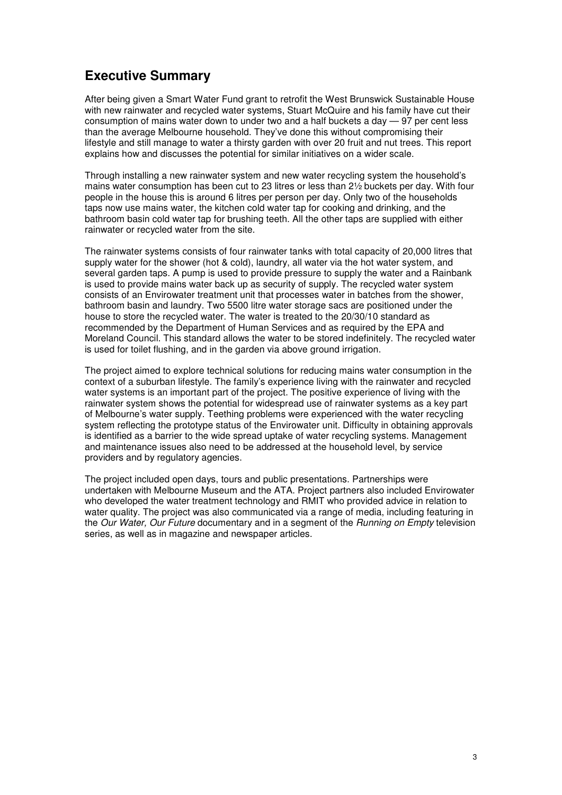## **Executive Summary**

After being given a Smart Water Fund grant to retrofit the West Brunswick Sustainable House with new rainwater and recycled water systems, Stuart McQuire and his family have cut their consumption of mains water down to under two and a half buckets a day — 97 per cent less than the average Melbourne household. They've done this without compromising their lifestyle and still manage to water a thirsty garden with over 20 fruit and nut trees. This report explains how and discusses the potential for similar initiatives on a wider scale.

Through installing a new rainwater system and new water recycling system the household's mains water consumption has been cut to 23 litres or less than 2½ buckets per day. With four people in the house this is around 6 litres per person per day. Only two of the households taps now use mains water, the kitchen cold water tap for cooking and drinking, and the bathroom basin cold water tap for brushing teeth. All the other taps are supplied with either rainwater or recycled water from the site.

The rainwater systems consists of four rainwater tanks with total capacity of 20,000 litres that supply water for the shower (hot & cold), laundry, all water via the hot water system, and several garden taps. A pump is used to provide pressure to supply the water and a Rainbank is used to provide mains water back up as security of supply. The recycled water system consists of an Envirowater treatment unit that processes water in batches from the shower, bathroom basin and laundry. Two 5500 litre water storage sacs are positioned under the house to store the recycled water. The water is treated to the 20/30/10 standard as recommended by the Department of Human Services and as required by the EPA and Moreland Council. This standard allows the water to be stored indefinitely. The recycled water is used for toilet flushing, and in the garden via above ground irrigation.

The project aimed to explore technical solutions for reducing mains water consumption in the context of a suburban lifestyle. The family's experience living with the rainwater and recycled water systems is an important part of the project. The positive experience of living with the rainwater system shows the potential for widespread use of rainwater systems as a key part of Melbourne's water supply. Teething problems were experienced with the water recycling system reflecting the prototype status of the Envirowater unit. Difficulty in obtaining approvals is identified as a barrier to the wide spread uptake of water recycling systems. Management and maintenance issues also need to be addressed at the household level, by service providers and by regulatory agencies.

The project included open days, tours and public presentations. Partnerships were undertaken with Melbourne Museum and the ATA. Project partners also included Envirowater who developed the water treatment technology and RMIT who provided advice in relation to water quality. The project was also communicated via a range of media, including featuring in the Our Water, Our Future documentary and in a segment of the Running on Empty television series, as well as in magazine and newspaper articles.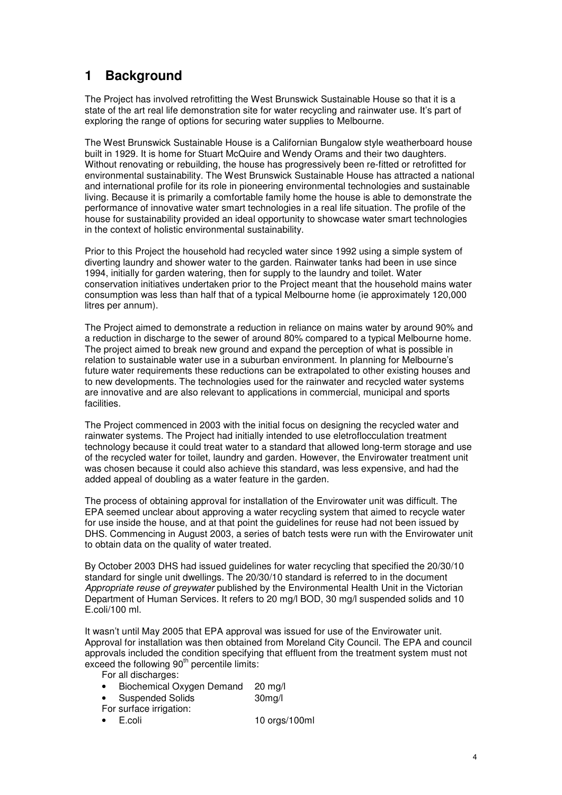# **1 Background**

The Project has involved retrofitting the West Brunswick Sustainable House so that it is a state of the art real life demonstration site for water recycling and rainwater use. It's part of exploring the range of options for securing water supplies to Melbourne.

The West Brunswick Sustainable House is a Californian Bungalow style weatherboard house built in 1929. It is home for Stuart McQuire and Wendy Orams and their two daughters. Without renovating or rebuilding, the house has progressively been re-fitted or retrofitted for environmental sustainability. The West Brunswick Sustainable House has attracted a national and international profile for its role in pioneering environmental technologies and sustainable living. Because it is primarily a comfortable family home the house is able to demonstrate the performance of innovative water smart technologies in a real life situation. The profile of the house for sustainability provided an ideal opportunity to showcase water smart technologies in the context of holistic environmental sustainability.

Prior to this Project the household had recycled water since 1992 using a simple system of diverting laundry and shower water to the garden. Rainwater tanks had been in use since 1994, initially for garden watering, then for supply to the laundry and toilet. Water conservation initiatives undertaken prior to the Project meant that the household mains water consumption was less than half that of a typical Melbourne home (ie approximately 120,000 litres per annum).

The Project aimed to demonstrate a reduction in reliance on mains water by around 90% and a reduction in discharge to the sewer of around 80% compared to a typical Melbourne home. The project aimed to break new ground and expand the perception of what is possible in relation to sustainable water use in a suburban environment. In planning for Melbourne's future water requirements these reductions can be extrapolated to other existing houses and to new developments. The technologies used for the rainwater and recycled water systems are innovative and are also relevant to applications in commercial, municipal and sports facilities.

The Project commenced in 2003 with the initial focus on designing the recycled water and rainwater systems. The Project had initially intended to use eletroflocculation treatment technology because it could treat water to a standard that allowed long-term storage and use of the recycled water for toilet, laundry and garden. However, the Envirowater treatment unit was chosen because it could also achieve this standard, was less expensive, and had the added appeal of doubling as a water feature in the garden.

The process of obtaining approval for installation of the Envirowater unit was difficult. The EPA seemed unclear about approving a water recycling system that aimed to recycle water for use inside the house, and at that point the guidelines for reuse had not been issued by DHS. Commencing in August 2003, a series of batch tests were run with the Envirowater unit to obtain data on the quality of water treated.

By October 2003 DHS had issued guidelines for water recycling that specified the 20/30/10 standard for single unit dwellings. The 20/30/10 standard is referred to in the document Appropriate reuse of greywater published by the Environmental Health Unit in the Victorian Department of Human Services. It refers to 20 mg/l BOD, 30 mg/l suspended solids and 10 E.coli/100 ml.

It wasn't until May 2005 that EPA approval was issued for use of the Envirowater unit. Approval for installation was then obtained from Moreland City Council. The EPA and council approvals included the condition specifying that effluent from the treatment system must not exceed the following 90<sup>th</sup> percentile limits:

For all discharges:

- Biochemical Oxygen Demand 20 mg/l
	- Suspended Solids 30mg/l
- For surface irrigation:
- E.coli 10 orgs/100ml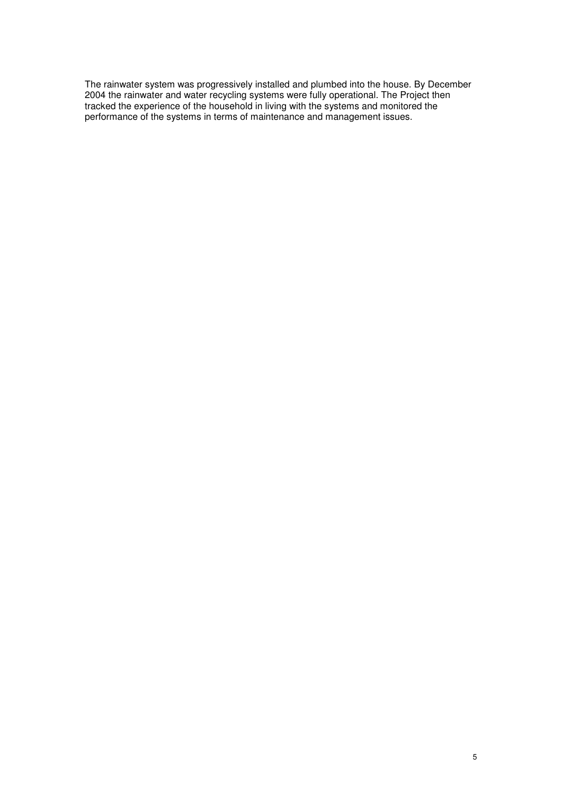The rainwater system was progressively installed and plumbed into the house. By December 2004 the rainwater and water recycling systems were fully operational. The Project then tracked the experience of the household in living with the systems and monitored the performance of the systems in terms of maintenance and management issues.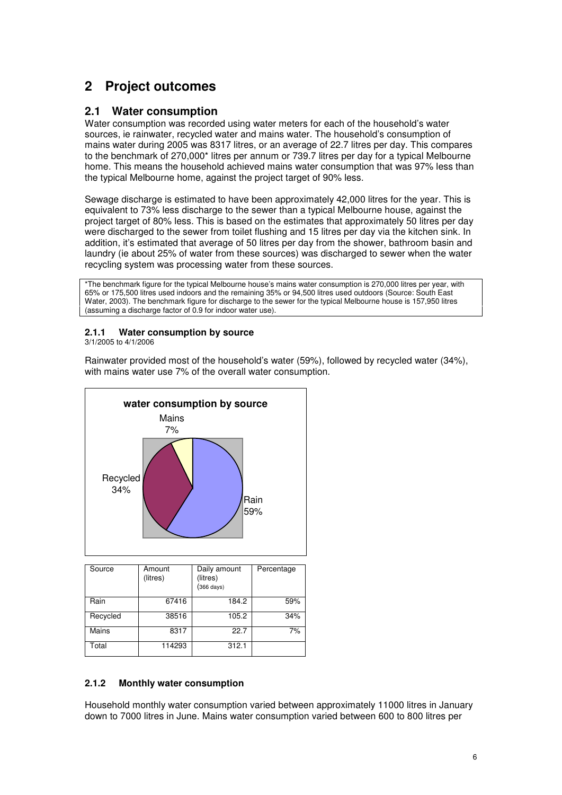# **2 Project outcomes**

#### **2.1 Water consumption**

Water consumption was recorded using water meters for each of the household's water sources, ie rainwater, recycled water and mains water. The household's consumption of mains water during 2005 was 8317 litres, or an average of 22.7 litres per day. This compares to the benchmark of 270,000\* litres per annum or 739.7 litres per day for a typical Melbourne home. This means the household achieved mains water consumption that was 97% less than the typical Melbourne home, against the project target of 90% less.

Sewage discharge is estimated to have been approximately 42,000 litres for the year. This is equivalent to 73% less discharge to the sewer than a typical Melbourne house, against the project target of 80% less. This is based on the estimates that approximately 50 litres per day were discharged to the sewer from toilet flushing and 15 litres per day via the kitchen sink. In addition, it's estimated that average of 50 litres per day from the shower, bathroom basin and laundry (ie about 25% of water from these sources) was discharged to sewer when the water recycling system was processing water from these sources.

\*The benchmark figure for the typical Melbourne house's mains water consumption is 270,000 litres per year, with 65% or 175,500 litres used indoors and the remaining 35% or 94,500 litres used outdoors (Source: South East Water, 2003). The benchmark figure for discharge to the sewer for the typical Melbourne house is 157,950 litres (assuming a discharge factor of 0.9 for indoor water use).

#### **2.1.1 Water consumption by source**

3/1/2005 to 4/1/2006

Rainwater provided most of the household's water (59%), followed by recycled water (34%), with mains water use 7% of the overall water consumption.



| Source   | Amount<br>(litres) | Daily amount<br>(litres)<br>$(366 \text{ days})$ | Percentage |  |
|----------|--------------------|--------------------------------------------------|------------|--|
| Rain     | 67416              | 184.2                                            | 59%        |  |
| Recycled | 38516              | 105.2                                            | 34%        |  |
| Mains    | 8317               | 22.7                                             | 7%         |  |
| Total    | 114293             | 312.1                                            |            |  |

#### **2.1.2 Monthly water consumption**

Household monthly water consumption varied between approximately 11000 litres in January down to 7000 litres in June. Mains water consumption varied between 600 to 800 litres per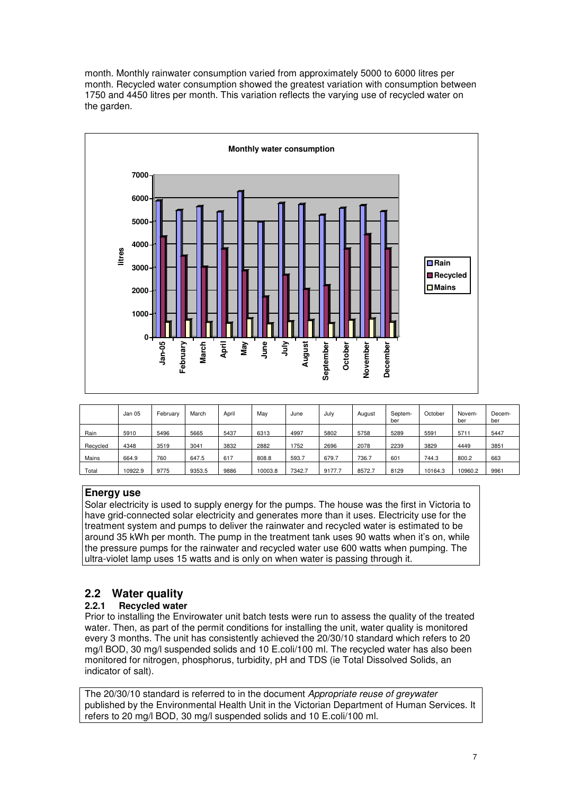month. Monthly rainwater consumption varied from approximately 5000 to 6000 litres per month. Recycled water consumption showed the greatest variation with consumption between 1750 and 4450 litres per month. This variation reflects the varying use of recycled water on the garden.



|          | Jan 05  | February | March  | April | May     | June   | July   | August | Septem-<br>ber | October | Novem-<br>ber | Decem-<br>ber |
|----------|---------|----------|--------|-------|---------|--------|--------|--------|----------------|---------|---------------|---------------|
| Rain     | 5910    | 5496     | 5665   | 5437  | 6313    | 4997   | 5802   | 5758   | 5289           | 5591    | 5711          | 5447          |
| Recycled | 4348    | 3519     | 3041   | 3832  | 2882    | 1752   | 2696   | 2078   | 2239           | 3829    | 4449          | 3851          |
| Mains    | 664.9   | 760      | 647.5  | 617   | 808.8   | 593.7  | 679.7  | 736.7  | 601            | 744.3   | 800.2         | 663           |
| Total    | 10922.9 | 9775     | 9353.5 | 9886  | 10003.8 | 7342.7 | 9177.7 | 8572.7 | 8129           | 10164.3 | 10960.2       | 9961          |

#### **Energy use**

Solar electricity is used to supply energy for the pumps. The house was the first in Victoria to have grid-connected solar electricity and generates more than it uses. Electricity use for the treatment system and pumps to deliver the rainwater and recycled water is estimated to be around 35 kWh per month. The pump in the treatment tank uses 90 watts when it's on, while the pressure pumps for the rainwater and recycled water use 600 watts when pumping. The ultra-violet lamp uses 15 watts and is only on when water is passing through it.

# **2.2 Water quality**

#### **2.2.1 Recycled water**

Prior to installing the Envirowater unit batch tests were run to assess the quality of the treated water. Then, as part of the permit conditions for installing the unit, water quality is monitored every 3 months. The unit has consistently achieved the 20/30/10 standard which refers to 20 mg/l BOD, 30 mg/l suspended solids and 10 E.coli/100 ml. The recycled water has also been monitored for nitrogen, phosphorus, turbidity, pH and TDS (ie Total Dissolved Solids, an indicator of salt).

The 20/30/10 standard is referred to in the document Appropriate reuse of greywater published by the Environmental Health Unit in the Victorian Department of Human Services. It refers to 20 mg/l BOD, 30 mg/l suspended solids and 10 E.coli/100 ml.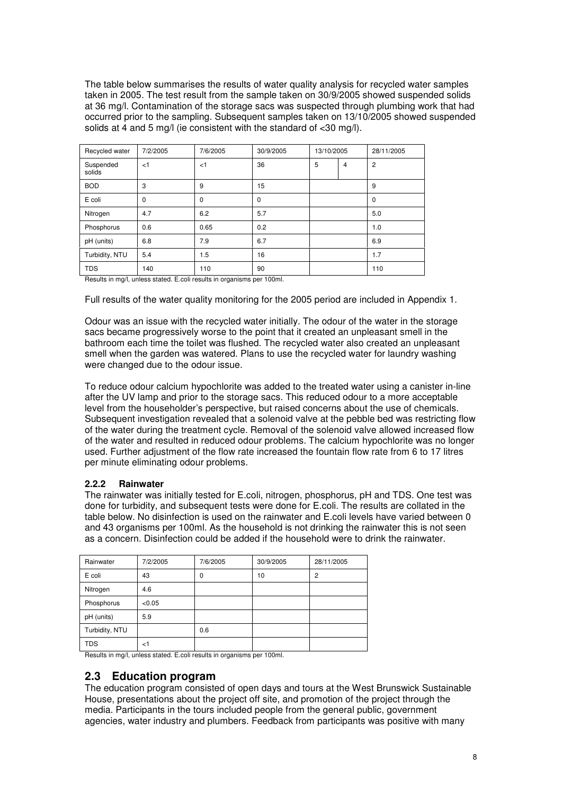The table below summarises the results of water quality analysis for recycled water samples taken in 2005. The test result from the sample taken on 30/9/2005 showed suspended solids at 36 mg/l. Contamination of the storage sacs was suspected through plumbing work that had occurred prior to the sampling. Subsequent samples taken on 13/10/2005 showed suspended solids at 4 and 5 mg/l (ie consistent with the standard of <30 mg/l).

| Recycled water      | 7/2/2005    | 7/6/2005    | 30/9/2005 | 13/10/2005 |                | 28/11/2005     |  |  |
|---------------------|-------------|-------------|-----------|------------|----------------|----------------|--|--|
| Suspended<br>solids | < 1         | < 1         | 36        | 5          | $\overline{4}$ | $\overline{c}$ |  |  |
| <b>BOD</b>          | 3           | 9           | 15        |            |                | 9              |  |  |
| E coli              | $\mathbf 0$ | $\mathbf 0$ | 0         |            |                | 0              |  |  |
| Nitrogen            | 4.7         | 6.2         | 5.7       |            |                | 5.0            |  |  |
| Phosphorus          | 0.6         | 0.65        | 0.2       |            |                | 1.0            |  |  |
| pH (units)          | 6.8         | 7.9         | 6.7       |            |                | 6.9            |  |  |
| Turbidity, NTU      | 5.4         | 1.5         | 16        |            |                | 1.7            |  |  |
| <b>TDS</b>          | 140         | 110         | 90        |            |                | 110            |  |  |

Results in mg/l, unless stated. E.coli results in organisms per 100ml.

Full results of the water quality monitoring for the 2005 period are included in Appendix 1.

Odour was an issue with the recycled water initially. The odour of the water in the storage sacs became progressively worse to the point that it created an unpleasant smell in the bathroom each time the toilet was flushed. The recycled water also created an unpleasant smell when the garden was watered. Plans to use the recycled water for laundry washing were changed due to the odour issue.

To reduce odour calcium hypochlorite was added to the treated water using a canister in-line after the UV lamp and prior to the storage sacs. This reduced odour to a more acceptable level from the householder's perspective, but raised concerns about the use of chemicals. Subsequent investigation revealed that a solenoid valve at the pebble bed was restricting flow of the water during the treatment cycle. Removal of the solenoid valve allowed increased flow of the water and resulted in reduced odour problems. The calcium hypochlorite was no longer used. Further adjustment of the flow rate increased the fountain flow rate from 6 to 17 litres per minute eliminating odour problems.

#### **2.2.2 Rainwater**

The rainwater was initially tested for E.coli, nitrogen, phosphorus, pH and TDS. One test was done for turbidity, and subsequent tests were done for E.coli. The results are collated in the table below. No disinfection is used on the rainwater and E.coli levels have varied between 0 and 43 organisms per 100ml. As the household is not drinking the rainwater this is not seen as a concern. Disinfection could be added if the household were to drink the rainwater.

| Rainwater      | 7/2/2005 | 7/6/2005 | 30/9/2005 | 28/11/2005     |  |
|----------------|----------|----------|-----------|----------------|--|
| E coli         | 43       | 0        | 10        | $\overline{2}$ |  |
| Nitrogen       | 4.6      |          |           |                |  |
| Phosphorus     | < 0.05   |          |           |                |  |
| pH (units)     | 5.9      |          |           |                |  |
| Turbidity, NTU |          | 0.6      |           |                |  |
| <b>TDS</b>     | ا>       |          |           |                |  |

Results in mg/l, unless stated. E.coli results in organisms per 100ml.

#### **2.3 Education program**

The education program consisted of open days and tours at the West Brunswick Sustainable House, presentations about the project off site, and promotion of the project through the media. Participants in the tours included people from the general public, government agencies, water industry and plumbers. Feedback from participants was positive with many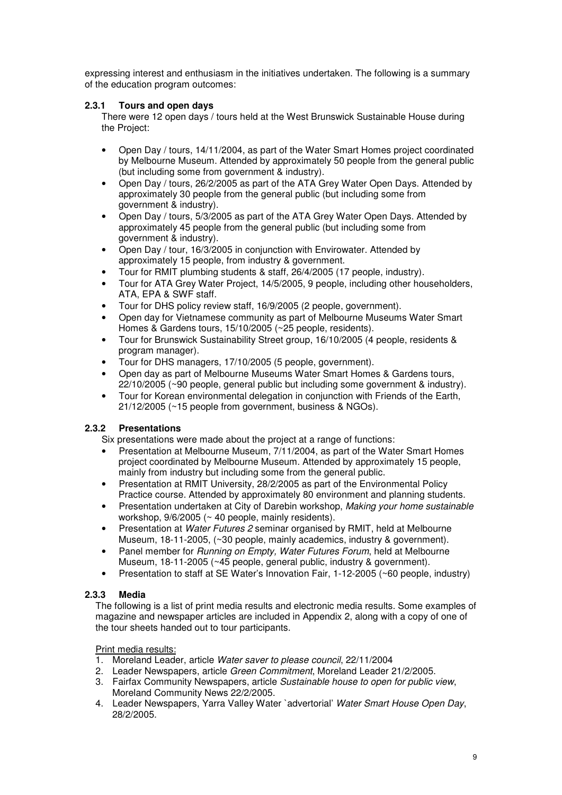expressing interest and enthusiasm in the initiatives undertaken. The following is a summary of the education program outcomes:

#### **2.3.1 Tours and open days**

There were 12 open days / tours held at the West Brunswick Sustainable House during the Project:

- Open Day / tours, 14/11/2004, as part of the Water Smart Homes project coordinated by Melbourne Museum. Attended by approximately 50 people from the general public (but including some from government & industry).
- Open Day / tours, 26/2/2005 as part of the ATA Grey Water Open Days. Attended by approximately 30 people from the general public (but including some from government & industry).
- Open Day / tours, 5/3/2005 as part of the ATA Grey Water Open Days. Attended by approximately 45 people from the general public (but including some from government & industry).
- Open Day / tour, 16/3/2005 in conjunction with Envirowater. Attended by approximately 15 people, from industry & government.
- Tour for RMIT plumbing students & staff, 26/4/2005 (17 people, industry).
- Tour for ATA Grey Water Project, 14/5/2005, 9 people, including other householders, ATA, EPA & SWF staff.
- Tour for DHS policy review staff, 16/9/2005 (2 people, government).
- Open day for Vietnamese community as part of Melbourne Museums Water Smart Homes & Gardens tours, 15/10/2005 (~25 people, residents).
- Tour for Brunswick Sustainability Street group, 16/10/2005 (4 people, residents & program manager).
- Tour for DHS managers, 17/10/2005 (5 people, government).
- Open day as part of Melbourne Museums Water Smart Homes & Gardens tours, 22/10/2005 (~90 people, general public but including some government & industry).
- Tour for Korean environmental delegation in conjunction with Friends of the Earth, 21/12/2005 (~15 people from government, business & NGOs).

#### **2.3.2 Presentations**

Six presentations were made about the project at a range of functions:

- Presentation at Melbourne Museum, 7/11/2004, as part of the Water Smart Homes project coordinated by Melbourne Museum. Attended by approximately 15 people, mainly from industry but including some from the general public.
- Presentation at RMIT University, 28/2/2005 as part of the Environmental Policy Practice course. Attended by approximately 80 environment and planning students.
- Presentation undertaken at City of Darebin workshop, Making your home sustainable workshop, 9/6/2005 (~ 40 people, mainly residents).
- Presentation at Water Futures 2 seminar organised by RMIT, held at Melbourne Museum, 18-11-2005, (~30 people, mainly academics, industry & government).
- Panel member for Running on Empty, Water Futures Forum, held at Melbourne Museum, 18-11-2005 (~45 people, general public, industry & government).
- Presentation to staff at SE Water's Innovation Fair, 1-12-2005 (~60 people, industry)

#### **2.3.3 Media**

The following is a list of print media results and electronic media results. Some examples of magazine and newspaper articles are included in Appendix 2, along with a copy of one of the tour sheets handed out to tour participants.

#### Print media results:

- 1. Moreland Leader, article Water saver to please council, 22/11/2004
- 2. Leader Newspapers, article Green Commitment, Moreland Leader 21/2/2005.
- 3. Fairfax Community Newspapers, article Sustainable house to open for public view, Moreland Community News 22/2/2005.
- 4. Leader Newspapers, Yarra Valley Water `advertorial' Water Smart House Open Day, 28/2/2005.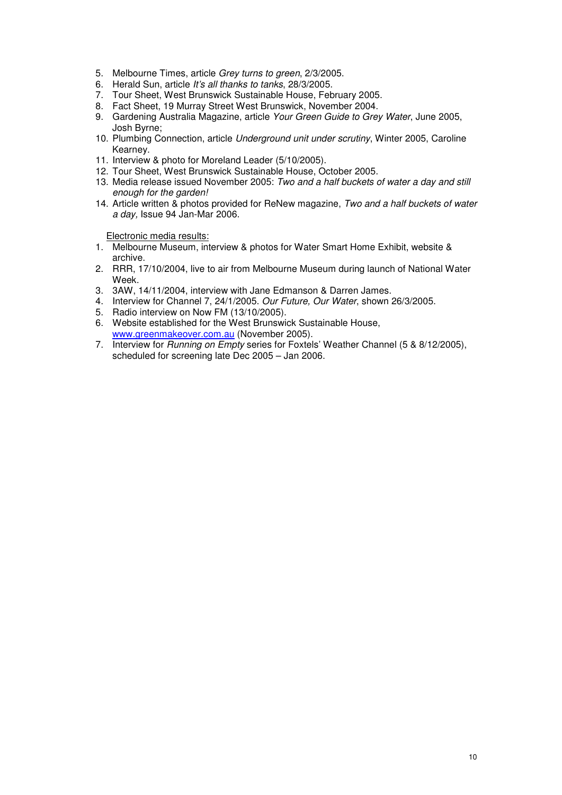- 5. Melbourne Times, article Grey turns to green, 2/3/2005.
- 6. Herald Sun, article It's all thanks to tanks, 28/3/2005.
- 7. Tour Sheet, West Brunswick Sustainable House, February 2005.
- 8. Fact Sheet, 19 Murray Street West Brunswick, November 2004.
- 9. Gardening Australia Magazine, article Your Green Guide to Grey Water, June 2005, Josh Byrne;
- 10. Plumbing Connection, article Underground unit under scrutiny, Winter 2005, Caroline Kearney.
- 11. Interview & photo for Moreland Leader (5/10/2005).
- 12. Tour Sheet, West Brunswick Sustainable House, October 2005.
- 13. Media release issued November 2005: Two and a half buckets of water a day and still enough for the garden!
- 14. Article written & photos provided for ReNew magazine, Two and a half buckets of water a day, Issue 94 Jan-Mar 2006.

Electronic media results:

- 1. Melbourne Museum, interview & photos for Water Smart Home Exhibit, website & archive.
- 2. RRR, 17/10/2004, live to air from Melbourne Museum during launch of National Water Week.
- 3. 3AW, 14/11/2004, interview with Jane Edmanson & Darren James.
- 4. Interview for Channel 7, 24/1/2005. Our Future, Our Water, shown 26/3/2005.
- 5. Radio interview on Now FM (13/10/2005).
- 6. Website established for the West Brunswick Sustainable House, www.greenmakeover.com.au (November 2005).
- 7. Interview for Running on Empty series for Foxtels' Weather Channel (5 & 8/12/2005), scheduled for screening late Dec 2005 – Jan 2006.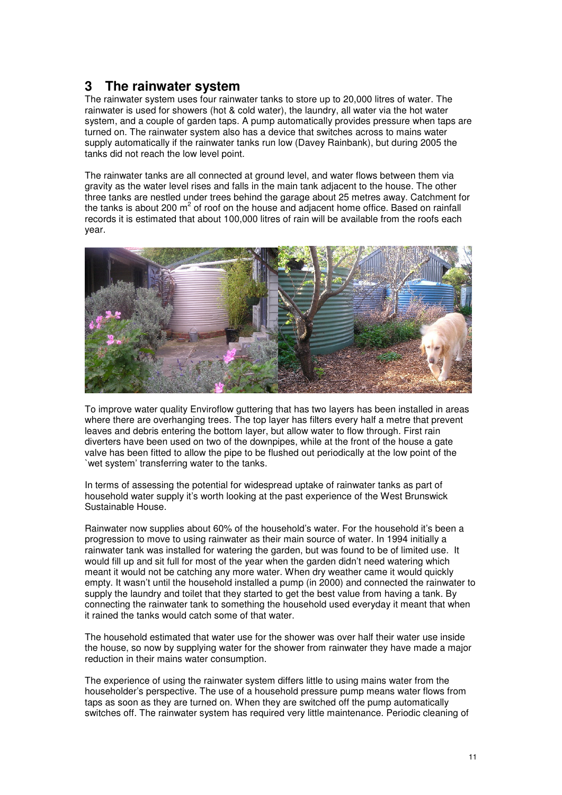## **3 The rainwater system**

The rainwater system uses four rainwater tanks to store up to 20,000 litres of water. The rainwater is used for showers (hot & cold water), the laundry, all water via the hot water system, and a couple of garden taps. A pump automatically provides pressure when taps are turned on. The rainwater system also has a device that switches across to mains water supply automatically if the rainwater tanks run low (Davey Rainbank), but during 2005 the tanks did not reach the low level point.

The rainwater tanks are all connected at ground level, and water flows between them via gravity as the water level rises and falls in the main tank adjacent to the house. The other three tanks are nestled under trees behind the garage about 25 metres away. Catchment for the tanks is about 200  $m^2$  of roof on the house and adjacent home office. Based on rainfall records it is estimated that about 100,000 litres of rain will be available from the roofs each year.



To improve water quality Enviroflow guttering that has two layers has been installed in areas where there are overhanging trees. The top layer has filters every half a metre that prevent leaves and debris entering the bottom layer, but allow water to flow through. First rain diverters have been used on two of the downpipes, while at the front of the house a gate valve has been fitted to allow the pipe to be flushed out periodically at the low point of the `wet system' transferring water to the tanks.

In terms of assessing the potential for widespread uptake of rainwater tanks as part of household water supply it's worth looking at the past experience of the West Brunswick Sustainable House.

Rainwater now supplies about 60% of the household's water. For the household it's been a progression to move to using rainwater as their main source of water. In 1994 initially a rainwater tank was installed for watering the garden, but was found to be of limited use. It would fill up and sit full for most of the year when the garden didn't need watering which meant it would not be catching any more water. When dry weather came it would quickly empty. It wasn't until the household installed a pump (in 2000) and connected the rainwater to supply the laundry and toilet that they started to get the best value from having a tank. By connecting the rainwater tank to something the household used everyday it meant that when it rained the tanks would catch some of that water.

The household estimated that water use for the shower was over half their water use inside the house, so now by supplying water for the shower from rainwater they have made a major reduction in their mains water consumption.

The experience of using the rainwater system differs little to using mains water from the householder's perspective. The use of a household pressure pump means water flows from taps as soon as they are turned on. When they are switched off the pump automatically switches off. The rainwater system has required very little maintenance. Periodic cleaning of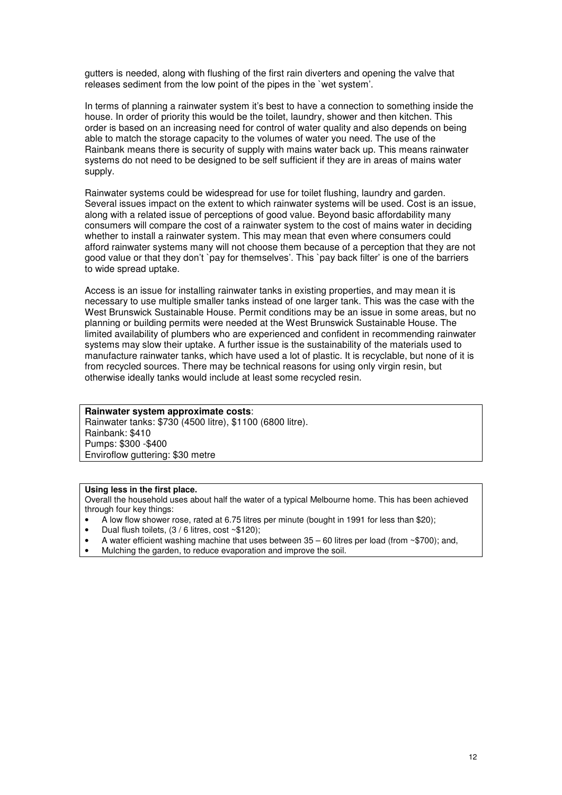gutters is needed, along with flushing of the first rain diverters and opening the valve that releases sediment from the low point of the pipes in the `wet system'.

In terms of planning a rainwater system it's best to have a connection to something inside the house. In order of priority this would be the toilet, laundry, shower and then kitchen. This order is based on an increasing need for control of water quality and also depends on being able to match the storage capacity to the volumes of water you need. The use of the Rainbank means there is security of supply with mains water back up. This means rainwater systems do not need to be designed to be self sufficient if they are in areas of mains water supply.

Rainwater systems could be widespread for use for toilet flushing, laundry and garden. Several issues impact on the extent to which rainwater systems will be used. Cost is an issue, along with a related issue of perceptions of good value. Beyond basic affordability many consumers will compare the cost of a rainwater system to the cost of mains water in deciding whether to install a rainwater system. This may mean that even where consumers could afford rainwater systems many will not choose them because of a perception that they are not good value or that they don't `pay for themselves'. This `pay back filter' is one of the barriers to wide spread uptake.

Access is an issue for installing rainwater tanks in existing properties, and may mean it is necessary to use multiple smaller tanks instead of one larger tank. This was the case with the West Brunswick Sustainable House. Permit conditions may be an issue in some areas, but no planning or building permits were needed at the West Brunswick Sustainable House. The limited availability of plumbers who are experienced and confident in recommending rainwater systems may slow their uptake. A further issue is the sustainability of the materials used to manufacture rainwater tanks, which have used a lot of plastic. It is recyclable, but none of it is from recycled sources. There may be technical reasons for using only virgin resin, but otherwise ideally tanks would include at least some recycled resin.

#### **Rainwater system approximate costs**:

Rainwater tanks: \$730 (4500 litre), \$1100 (6800 litre). Rainbank: \$410 Pumps: \$300 -\$400 Enviroflow guttering: \$30 metre

#### **Using less in the first place.**

Overall the household uses about half the water of a typical Melbourne home. This has been achieved through four key things:

- A low flow shower rose, rated at 6.75 litres per minute (bought in 1991 for less than \$20);
- Dual flush toilets, (3 / 6 litres, cost ~\$120);
- A water efficient washing machine that uses between  $35 60$  litres per load (from  $\sim$ \$700); and,
- Mulching the garden, to reduce evaporation and improve the soil.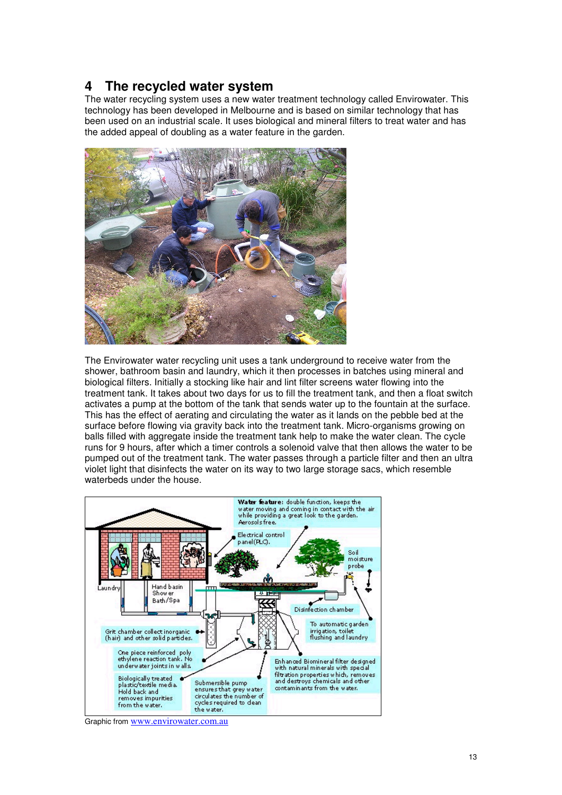## **4 The recycled water system**

The water recycling system uses a new water treatment technology called Envirowater. This technology has been developed in Melbourne and is based on similar technology that has been used on an industrial scale. It uses biological and mineral filters to treat water and has the added appeal of doubling as a water feature in the garden.



The Envirowater water recycling unit uses a tank underground to receive water from the shower, bathroom basin and laundry, which it then processes in batches using mineral and biological filters. Initially a stocking like hair and lint filter screens water flowing into the treatment tank. It takes about two days for us to fill the treatment tank, and then a float switch activates a pump at the bottom of the tank that sends water up to the fountain at the surface. This has the effect of aerating and circulating the water as it lands on the pebble bed at the surface before flowing via gravity back into the treatment tank. Micro-organisms growing on balls filled with aggregate inside the treatment tank help to make the water clean. The cycle runs for 9 hours, after which a timer controls a solenoid valve that then allows the water to be pumped out of the treatment tank. The water passes through a particle filter and then an ultra violet light that disinfects the water on its way to two large storage sacs, which resemble waterbeds under the house.



Graphic from www.envirowater.com.au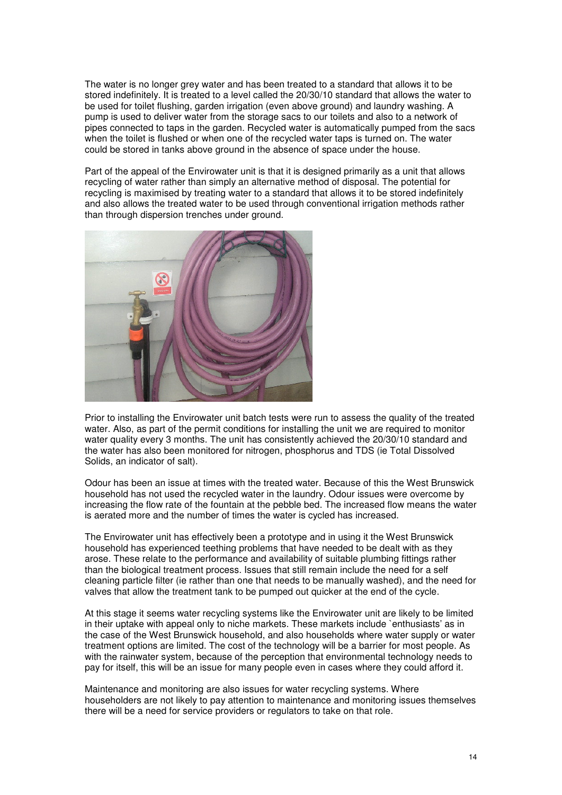The water is no longer grey water and has been treated to a standard that allows it to be stored indefinitely. It is treated to a level called the 20/30/10 standard that allows the water to be used for toilet flushing, garden irrigation (even above ground) and laundry washing. A pump is used to deliver water from the storage sacs to our toilets and also to a network of pipes connected to taps in the garden. Recycled water is automatically pumped from the sacs when the toilet is flushed or when one of the recycled water taps is turned on. The water could be stored in tanks above ground in the absence of space under the house.

Part of the appeal of the Envirowater unit is that it is designed primarily as a unit that allows recycling of water rather than simply an alternative method of disposal. The potential for recycling is maximised by treating water to a standard that allows it to be stored indefinitely and also allows the treated water to be used through conventional irrigation methods rather than through dispersion trenches under ground.



Prior to installing the Envirowater unit batch tests were run to assess the quality of the treated water. Also, as part of the permit conditions for installing the unit we are required to monitor water quality every 3 months. The unit has consistently achieved the 20/30/10 standard and the water has also been monitored for nitrogen, phosphorus and TDS (ie Total Dissolved Solids, an indicator of salt).

Odour has been an issue at times with the treated water. Because of this the West Brunswick household has not used the recycled water in the laundry. Odour issues were overcome by increasing the flow rate of the fountain at the pebble bed. The increased flow means the water is aerated more and the number of times the water is cycled has increased.

The Envirowater unit has effectively been a prototype and in using it the West Brunswick household has experienced teething problems that have needed to be dealt with as they arose. These relate to the performance and availability of suitable plumbing fittings rather than the biological treatment process. Issues that still remain include the need for a self cleaning particle filter (ie rather than one that needs to be manually washed), and the need for valves that allow the treatment tank to be pumped out quicker at the end of the cycle.

At this stage it seems water recycling systems like the Envirowater unit are likely to be limited in their uptake with appeal only to niche markets. These markets include `enthusiasts' as in the case of the West Brunswick household, and also households where water supply or water treatment options are limited. The cost of the technology will be a barrier for most people. As with the rainwater system, because of the perception that environmental technology needs to pay for itself, this will be an issue for many people even in cases where they could afford it.

Maintenance and monitoring are also issues for water recycling systems. Where householders are not likely to pay attention to maintenance and monitoring issues themselves there will be a need for service providers or regulators to take on that role.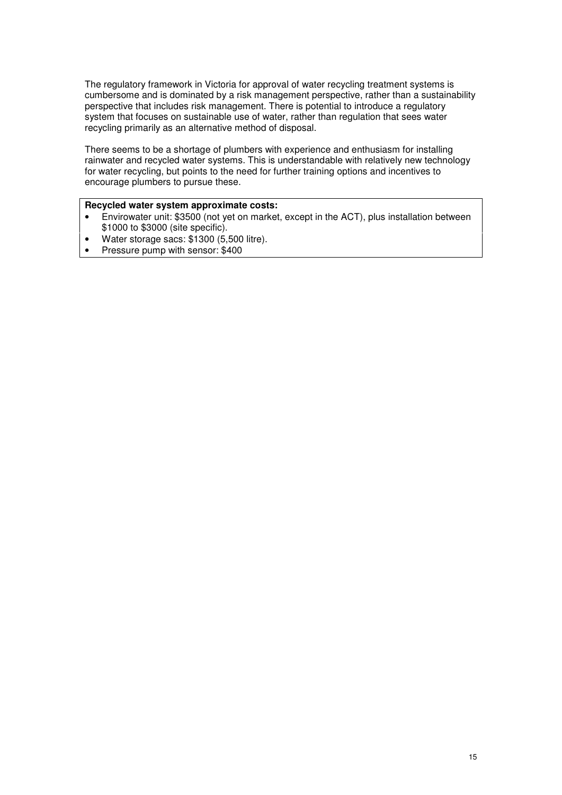The regulatory framework in Victoria for approval of water recycling treatment systems is cumbersome and is dominated by a risk management perspective, rather than a sustainability perspective that includes risk management. There is potential to introduce a regulatory system that focuses on sustainable use of water, rather than regulation that sees water recycling primarily as an alternative method of disposal.

There seems to be a shortage of plumbers with experience and enthusiasm for installing rainwater and recycled water systems. This is understandable with relatively new technology for water recycling, but points to the need for further training options and incentives to encourage plumbers to pursue these.

#### **Recycled water system approximate costs:**

- Envirowater unit: \$3500 (not yet on market, except in the ACT), plus installation between \$1000 to \$3000 (site specific).
- Water storage sacs: \$1300 (5,500 litre).
- Pressure pump with sensor: \$400